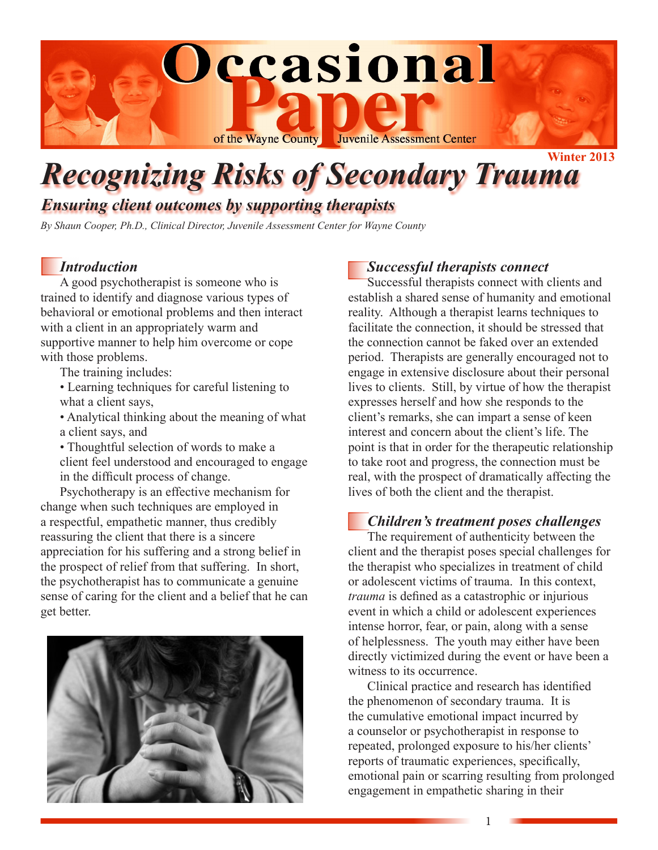

# *Recognizing Risks of Secondary Trauma*

*Ensuring client outcomes by supporting therapists*

*By Shaun Cooper, Ph.D., Clinical Director, Juvenile Assessment Center for Wayne County*

# *Introduction*

A good psychotherapist is someone who is trained to identify and diagnose various types of behavioral or emotional problems and then interact with a client in an appropriately warm and supportive manner to help him overcome or cope with those problems.

The training includes:

- Learning techniques for careful listening to what a client says,
- Analytical thinking about the meaning of what a client says, and
- Thoughtful selection of words to make a client feel understood and encouraged to engage in the difficult process of change.

Psychotherapy is an effective mechanism for change when such techniques are employed in a respectful, empathetic manner, thus credibly reassuring the client that there is a sincere appreciation for his suffering and a strong belief in the prospect of relief from that suffering. In short, the psychotherapist has to communicate a genuine sense of caring for the client and a belief that he can get better.



# *Successful therapists connect*

Successful therapists connect with clients and establish a shared sense of humanity and emotional reality. Although a therapist learns techniques to facilitate the connection, it should be stressed that the connection cannot be faked over an extended period. Therapists are generally encouraged not to engage in extensive disclosure about their personal lives to clients. Still, by virtue of how the therapist expresses herself and how she responds to the client's remarks, she can impart a sense of keen interest and concern about the client's life. The point is that in order for the therapeutic relationship to take root and progress, the connection must be real, with the prospect of dramatically affecting the lives of both the client and the therapist.

# *Children's treatment poses challenges*

The requirement of authenticity between the client and the therapist poses special challenges for the therapist who specializes in treatment of child or adolescent victims of trauma. In this context, *trauma* is defined as a catastrophic or injurious event in which a child or adolescent experiences intense horror, fear, or pain, along with a sense of helplessness. The youth may either have been directly victimized during the event or have been a witness to its occurrence.

Clinical practice and research has identified the phenomenon of secondary trauma. It is the cumulative emotional impact incurred by a counselor or psychotherapist in response to repeated, prolonged exposure to his/her clients' reports of traumatic experiences, specifically, emotional pain or scarring resulting from prolonged engagement in empathetic sharing in their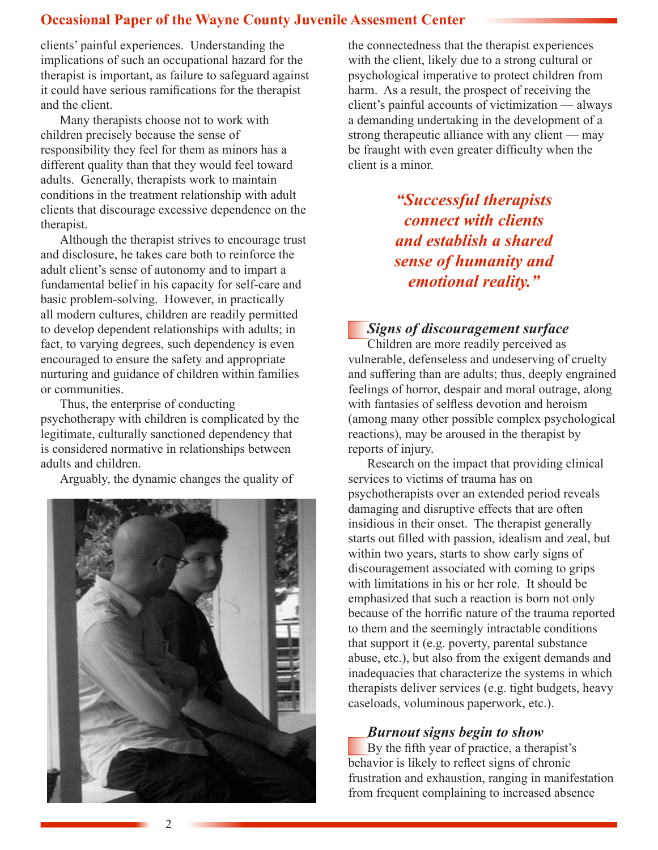# **Occasional Paper of the Wayne County Juvenile Assesment Center**

clients' painful experiences. Understanding the implications of such an occupational hazard for the therapist is important, as failure to safeguard against it could have serious ramifications for the therapist and the client.

Many therapists choose not to work with children precisely because the sense of responsibility they feel for them as minors has a different quality than that they would feel toward adults. Generally, therapists work to maintain conditions in the treatment relationship with adult clients that discourage excessive dependence on the therapist.

Although the therapist strives to encourage trust and disclosure, he takes care both to reinforce the adult client's sense of autonomy and to impart a fundamental belief in his capacity for self-care and basic problem-solving. However, in practically all modern cultures, children are readily permitted to develop dependent relationships with adults; in fact, to varying degrees, such dependency is even encouraged to ensure the safety and appropriate nurturing and guidance of children within families or communities.

Thus, the enterprise of conducting psychotherapy with children is complicated by the legitimate, culturally sanctioned dependency that is considered normative in relationships between adults and children.

Arguably, the dynamic changes the quality of



the connectedness that the therapist experiences with the client, likely due to a strong cultural or psychological imperative to protect children from harm. As a result, the prospect of receiving the client's painful accounts of victimization — always a demanding undertaking in the development of a strong therapeutic alliance with any client — may be fraught with even greater difficulty when the client is a minor.

> *"Successful therapists connect with clients and establish a shared sense of humanity and emotional reality."*

#### *Signs of discouragement surface*

Children are more readily perceived as vulnerable, defenseless and undeserving of cruelty and suffering than are adults; thus, deeply engrained feelings of horror, despair and moral outrage, along with fantasies of selfless devotion and heroism (among many other possible complex psychological reactions), may be aroused in the therapist by reports of injury.

Research on the impact that providing clinical services to victims of trauma has on psychotherapists over an extended period reveals damaging and disruptive effects that are often insidious in their onset. The therapist generally starts out filled with passion, idealism and zeal, but within two years, starts to show early signs of discouragement associated with coming to grips with limitations in his or her role. It should be emphasized that such a reaction is born not only because of the horrific nature of the trauma reported to them and the seemingly intractable conditions that support it (e.g. poverty, parental substance abuse, etc.), but also from the exigent demands and inadequacies that characterize the systems in which therapists deliver services (e.g. tight budgets, heavy caseloads, voluminous paperwork, etc.).

#### *Burnout signs begin to show*

By the fifth year of practice, a therapist's behavior is likely to reflect signs of chronic frustration and exhaustion, ranging in manifestation from frequent complaining to increased absence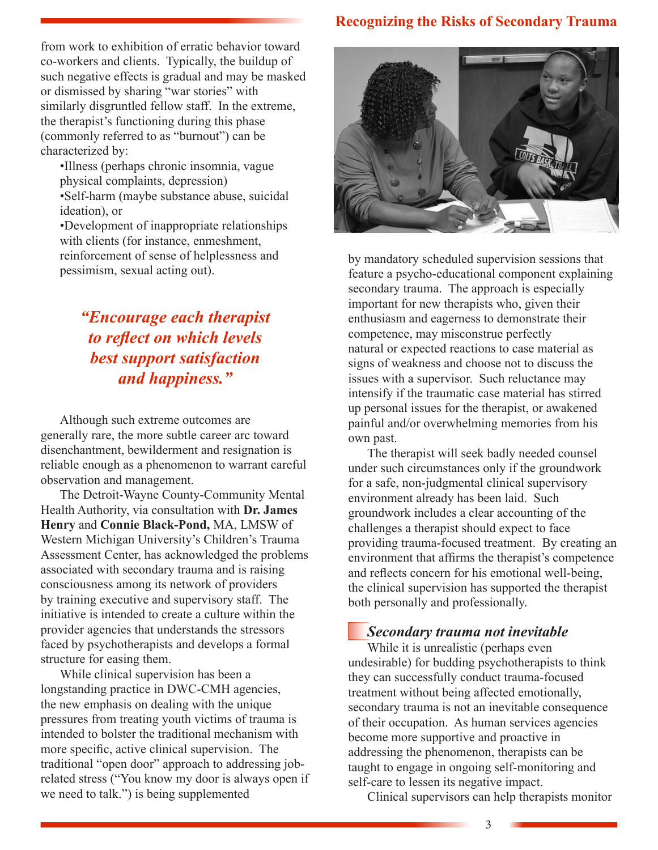# **Recognizing the Risks of Secondary Trauma**

from work to exhibition of erratic behavior toward co-workers and clients. Typically, the buildup of such negative effects is gradual and may be masked or dismissed by sharing "war stories" with similarly disgruntled fellow staff. In the extreme, the therapist's functioning during this phase (commonly referred to as "burnout") can be characterized by:

•Illness (perhaps chronic insomnia, vague physical complaints, depression) •Self-harm (maybe substance abuse, suicidal ideation), or

•Development of inappropriate relationships with clients (for instance, enmeshment, reinforcement of sense of helplessness and pessimism, sexual acting out).

# *"Encourage each therapist to reflect on which levels best support satisfaction and happiness."*

Although such extreme outcomes are generally rare, the more subtle career arc toward disenchantment, bewilderment and resignation is reliable enough as a phenomenon to warrant careful observation and management.

The Detroit-Wayne County-Community Mental Health Authority, via consultation with **Dr. James Henry** and **Connie Black-Pond,** MA, LMSW of Western Michigan University's Children's Trauma Assessment Center, has acknowledged the problems associated with secondary trauma and is raising consciousness among its network of providers by training executive and supervisory staff. The initiative is intended to create a culture within the provider agencies that understands the stressors faced by psychotherapists and develops a formal structure for easing them.

While clinical supervision has been a longstanding practice in DWC-CMH agencies, the new emphasis on dealing with the unique pressures from treating youth victims of trauma is intended to bolster the traditional mechanism with more specific, active clinical supervision. The traditional "open door" approach to addressing jobrelated stress ("You know my door is always open if we need to talk.") is being supplemented



by mandatory scheduled supervision sessions that feature a psycho-educational component explaining secondary trauma. The approach is especially important for new therapists who, given their enthusiasm and eagerness to demonstrate their competence, may misconstrue perfectly natural or expected reactions to case material as signs of weakness and choose not to discuss the issues with a supervisor. Such reluctance may intensify if the traumatic case material has stirred up personal issues for the therapist, or awakened painful and/or overwhelming memories from his own past.

The therapist will seek badly needed counsel under such circumstances only if the groundwork for a safe, non-judgmental clinical supervisory environment already has been laid. Such groundwork includes a clear accounting of the challenges a therapist should expect to face providing trauma-focused treatment. By creating an environment that affirms the therapist's competence and reflects concern for his emotional well-being, the clinical supervision has supported the therapist both personally and professionally.

# *Secondary trauma not inevitable*

While it is unrealistic (perhaps even undesirable) for budding psychotherapists to think they can successfully conduct trauma-focused treatment without being affected emotionally, secondary trauma is not an inevitable consequence of their occupation. As human services agencies become more supportive and proactive in addressing the phenomenon, therapists can be taught to engage in ongoing self-monitoring and self-care to lessen its negative impact.

Clinical supervisors can help therapists monitor